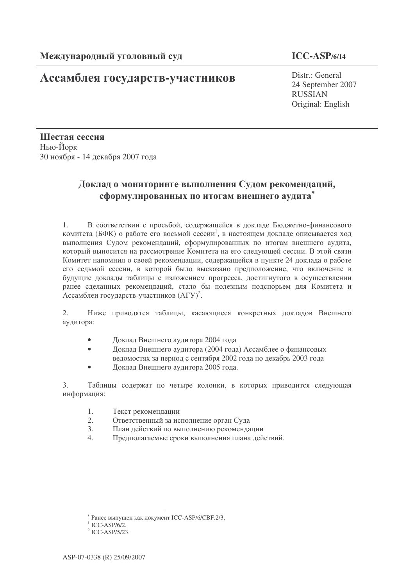# **Ассамблея государств-участников** Distr.: General

### **ICC-ASP/6/14**

24 September 2007 RUSSIAN Original: English

Шестая сессия Нью-Йорк 30 ноября - 14 декабря 2007 года

### Доклад о мониторинге выполнения Судом рекомендаций, сформулированных по итогам внешнего аудита<sup>\*</sup>

1. В соответствии с просьбой, содержащейся в докладе Бюджетно-финансового комитета (БФК) о работе его восьмой сессии<sup>1</sup>, в настоящем докладе описывается ход выполнения Судом рекомендаций, сформулированных по итогам внешнего аудита, который выносится на рассмотрение Комитета на его следующей сессии. В этой связи Комитет напомнил о своей рекомендации, содержащейся в пункте 24 доклада о работе его седьмой сессии, в которой было высказано предположение, что включение в будущие доклады таблицы с изложением прогресса, достигнутого в осуществлении ранее сделанных рекомендаций, стало бы полезным подспорьем для Комитета и Ассамблеи государств-участников  $(A\Gamma Y)^2$ .

2. Ниже приводятся таблицы, касающиеся конкретных докладов Внешнего аудитора:

- Локлал Внешнего аулитора 2004 гола
- Доклад Внешнего аудитора (2004 года) Ассамблее о финансовых ведомостях за период с сентября 2002 года по декабрь 2003 года
- Доклад Внешнего аудитора 2005 года.

3. Таблицы содержат по четыре колонки, в которых приводится следующая информация:

- 1. Текст рекоменлации
- 2. Ответственный за исполнение орган Суда
- 3. План действий по выполнению рекомендации
- 4. Предполагаемые сроки выполнения плана действий.

<sup>\*</sup> Ранее выпущен как документ ICC-ASP/6/CBF.2/3.

 $1$  ICC-ASP/6/2.

 $<sup>2</sup>$  ICC-ASP/5/23.</sup>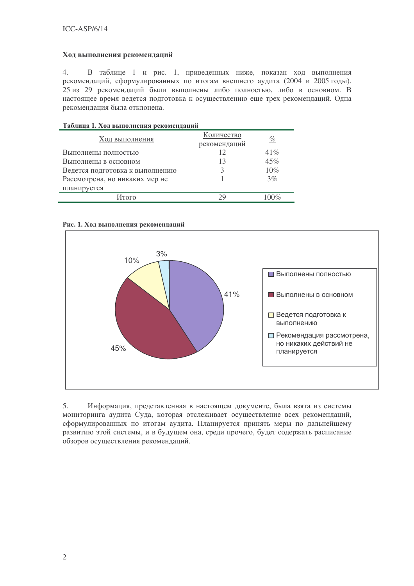#### Ход выполнения рекомендаций

 $\overline{4}$ . В таблице 1 и рис. 1, приведенных ниже, показан ход выполнения рекомендаций, сформулированных по итогам внешнего аудита (2004 и 2005 годы). 25 из 29 рекомендаций были выполнены либо полностью, либо в основном. В настоящее время ведется подготовка к осуществлению еще трех рекомендаций. Одна рекомендация была отклонена.

#### Таблица 1. Ход выполнения рекомендаций

| Ход выполнения                  | Количество<br>рекомендаций | <u>%</u> |
|---------------------------------|----------------------------|----------|
| Выполнены полностью             | 12                         | 41%      |
| Выполнены в основном            | 13                         | 45%      |
| Ведется подготовка к выполнению | κ                          | $10\%$   |
| Рассмотрена, но никаких мер не  |                            | 3%       |
| планируется                     |                            |          |
| Итого                           | 79                         | $100\%$  |

#### Рис. 1. Ход выполнения рекомендаций



5. Информация, представленная в настоящем документе, была взята из системы мониторинга аудита Суда, которая отслеживает осуществление всех рекомендаций, сформулированных по итогам аудита. Планируется принять меры по дальнейшему развитию этой системы, и в будущем она, среди прочего, будет содержать расписание обзоров осуществления рекомендаций.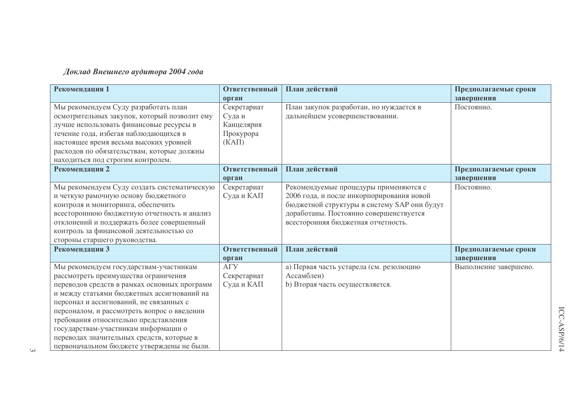### Доклад Внешнего аудитора 2004 года

| Рекомендация 1                                                                                                                                                                                                                                                                                                                                                                                                                                     | Ответственный                                              | План действий                                                                                                                                                                                                     | Предполагаемые сроки  |
|----------------------------------------------------------------------------------------------------------------------------------------------------------------------------------------------------------------------------------------------------------------------------------------------------------------------------------------------------------------------------------------------------------------------------------------------------|------------------------------------------------------------|-------------------------------------------------------------------------------------------------------------------------------------------------------------------------------------------------------------------|-----------------------|
|                                                                                                                                                                                                                                                                                                                                                                                                                                                    | орган                                                      |                                                                                                                                                                                                                   | завершения            |
| Мы рекомендуем Суду разработать план<br>осмотрительных закупок, который позволит ему<br>лучше использовать финансовые ресурсы в<br>течение года, избегая наблюдающихся в<br>настоящее время весьма высоких уровней<br>расходов по обязательствам, которые должны<br>находиться под строгим контролем.                                                                                                                                              | Секретариат<br>Суда и<br>Канцелярия<br>Прокурора<br>(KATI) | План закупок разработан, но нуждается в<br>дальнейшем усовершенствовании.                                                                                                                                         | Постоянно.            |
| Рекомендация 2                                                                                                                                                                                                                                                                                                                                                                                                                                     | Ответственный                                              | План действий                                                                                                                                                                                                     | Предполагаемые сроки  |
|                                                                                                                                                                                                                                                                                                                                                                                                                                                    | орган                                                      |                                                                                                                                                                                                                   | завершения            |
| Мы рекомендуем Суду создать систематическую<br>и четкую рамочную основу бюджетного<br>контроля и мониторинга, обеспечить<br>всестороннюю бюджетную отчетность и анализ<br>отклонений и поддержать более совершенный<br>контроль за финансовой деятельностью со<br>стороны старшего руководства.                                                                                                                                                    | Секретариат<br>Суда и КАП                                  | Рекомендуемые процедуры применяются с<br>2006 года, и после инкорпорирования новой<br>бюджетной структуры в систему SAP они будут<br>доработаны. Постоянно совершенствуется<br>всесторонняя бюджетная отчетность. | Постоянно.            |
| Рекомендация 3                                                                                                                                                                                                                                                                                                                                                                                                                                     | Ответственный                                              | План действий                                                                                                                                                                                                     | Предполагаемые сроки  |
|                                                                                                                                                                                                                                                                                                                                                                                                                                                    | орган                                                      |                                                                                                                                                                                                                   | завершения            |
| Мы рекомендуем государствам-участникам<br>рассмотреть преимущества ограничения<br>переводов средств в рамках основных программ<br>и между статьями бюджетных ассигнований на<br>персонал и ассигнований, не связанных с<br>персоналом, и рассмотреть вопрос о введении<br>требования относительно представления<br>государствам-участникам информации о<br>переводах значительных средств, которые в<br>первоначальном бюджете утверждены не были. | A <sub>ry</sub><br>Секретариат<br>Суда и КАП               | а) Первая часть устарела (см. резолюцию<br>Ассамблеи)<br>b) Вторая часть осуществляется.                                                                                                                          | Выполнение завершено. |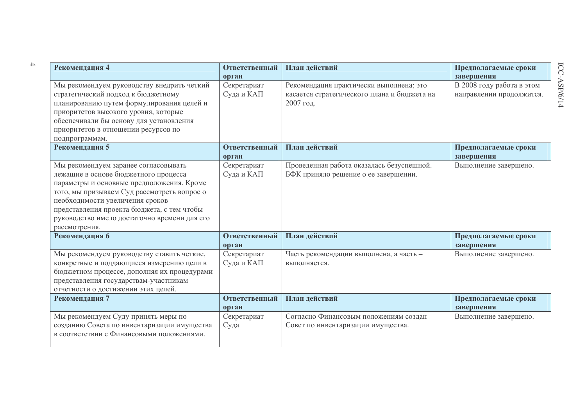| Рекомендация 4                                                                                                                                                                                                                                                                                                             | Ответственный                      | План действий                                                                                       | Предполагаемые сроки                                                |
|----------------------------------------------------------------------------------------------------------------------------------------------------------------------------------------------------------------------------------------------------------------------------------------------------------------------------|------------------------------------|-----------------------------------------------------------------------------------------------------|---------------------------------------------------------------------|
| Мы рекомендуем руководству внедрить четкий<br>стратегический подход к бюджетному<br>планированию путем формулирования целей и<br>приоритетов высокого уровня, которые<br>обеспечивали бы основу для установления<br>приоритетов в отношении ресурсов по<br>подпрограммам.                                                  | орган<br>Секретариат<br>Суда и КАП | Рекомендация практически выполнена; это<br>касается стратегического плана и бюджета на<br>2007 год. | завершения<br>В 2008 году работа в этом<br>направлении продолжится. |
| Рекомендация 5                                                                                                                                                                                                                                                                                                             | Ответственный<br>орган             | План действий                                                                                       | Предполагаемые сроки<br>завершения                                  |
| Мы рекомендуем заранее согласовывать<br>лежащие в основе бюджетного процесса<br>параметры и основные предположения. Кроме<br>того, мы призываем Суд рассмотреть вопрос о<br>необходимости увеличения сроков<br>представления проекта бюджета, с тем чтобы<br>руководство имело достаточно времени для его<br>рассмотрения. | Секретариат<br>Суда и КАП          | Проведенная работа оказалась безуспешной.<br>БФК приняло решение о ее завершении.                   | Выполнение завершено.                                               |
| Рекомендация 6                                                                                                                                                                                                                                                                                                             | Ответственный<br>орган             | План действий                                                                                       | Предполагаемые сроки<br>завершения                                  |
| Мы рекомендуем руководству ставить четкие,<br>конкретные и поддающиеся измерению цели в<br>бюджетном процессе, дополняя их процедурами<br>представления государствам-участникам<br>отчетности о достижении этих целей.                                                                                                     | Секретариат<br>Суда и КАП          | Часть рекомендации выполнена, а часть -<br>выполняется.                                             | Выполнение завершено.                                               |
| Рекомендация 7                                                                                                                                                                                                                                                                                                             | Ответственный<br>орган             | План действий                                                                                       | Предполагаемые сроки<br>завершения                                  |
| Мы рекомендуем Суду принять меры по<br>созданию Совета по инвентаризации имущества<br>в соответствии с Финансовыми положениями.                                                                                                                                                                                            | Секретариат<br>Суда                | Согласно Финансовым положениям создан<br>Совет по инвентаризации имущества.                         | Выполнение завершено.                                               |

 $\rightarrow$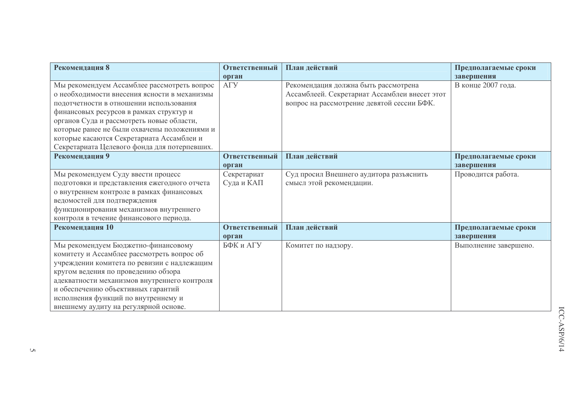| Рекомендация 8                                                                              | Ответственный   | План действий                                                                         | Предполагаемые сроки  |
|---------------------------------------------------------------------------------------------|-----------------|---------------------------------------------------------------------------------------|-----------------------|
|                                                                                             | орган           |                                                                                       | завершения            |
| Мы рекомендуем Ассамблее рассмотреть вопрос<br>о необходимости внесения ясности в механизмы | A <sub>ry</sub> | Рекомендация должна быть рассмотрена<br>Ассамблеей. Секретариат Ассамблеи внесет этот | В конце 2007 года.    |
|                                                                                             |                 |                                                                                       |                       |
| подотчетности в отношении использования                                                     |                 | вопрос на рассмотрение девятой сессии БФК.                                            |                       |
| финансовых ресурсов в рамках структур и                                                     |                 |                                                                                       |                       |
| органов Суда и рассмотреть новые области,                                                   |                 |                                                                                       |                       |
| которые ранее не были охвачены положениями и                                                |                 |                                                                                       |                       |
| которые касаются Секретариата Ассамблеи и                                                   |                 |                                                                                       |                       |
| Секретариата Целевого фонда для потерпевших.                                                |                 |                                                                                       |                       |
| Рекомендация 9                                                                              | Ответственный   | План действий                                                                         | Предполагаемые сроки  |
|                                                                                             | орган           |                                                                                       | завершения            |
| Мы рекомендуем Суду ввести процесс                                                          | Секретариат     | Суд просил Внешнего аудитора разъяснить                                               | Проводится работа.    |
| подготовки и представления ежегодного отчета                                                | Суда и КАП      | смысл этой рекомендации.                                                              |                       |
| о внутреннем контроле в рамках финансовых                                                   |                 |                                                                                       |                       |
| ведомостей для подтверждения                                                                |                 |                                                                                       |                       |
| функционирования механизмов внутреннего                                                     |                 |                                                                                       |                       |
| контроля в течение финансового периода.                                                     |                 |                                                                                       |                       |
| Рекомендация 10                                                                             | Ответственный   | План действий                                                                         | Предполагаемые сроки  |
|                                                                                             | орган           |                                                                                       | завершения            |
| Мы рекомендуем Бюджетно-финансовому                                                         | БФК и АГУ       | Комитет по надзору.                                                                   | Выполнение завершено. |
| комитету и Ассамблее рассмотреть вопрос об                                                  |                 |                                                                                       |                       |
| учреждении комитета по ревизии с надлежащим                                                 |                 |                                                                                       |                       |
| кругом ведения по проведению обзора                                                         |                 |                                                                                       |                       |
| адекватности механизмов внутреннего контроля                                                |                 |                                                                                       |                       |
| и обеспечению объективных гарантий                                                          |                 |                                                                                       |                       |
| исполнения функций по внутреннему и                                                         |                 |                                                                                       |                       |
| внешнему аудиту на регулярной основе.                                                       |                 |                                                                                       |                       |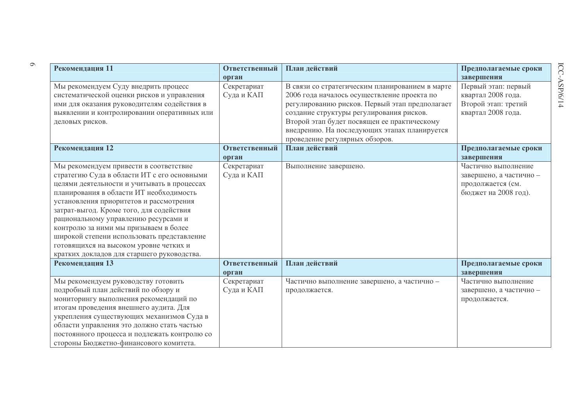| Рекомендация 11                                                                                                                                                                                                                                                                                                                                                                                                                                                                               | Ответственный<br>орган    | План действий                                                                                                                                                                                                                                                                                                                 | Предполагаемые сроки<br>завершения                                                          |
|-----------------------------------------------------------------------------------------------------------------------------------------------------------------------------------------------------------------------------------------------------------------------------------------------------------------------------------------------------------------------------------------------------------------------------------------------------------------------------------------------|---------------------------|-------------------------------------------------------------------------------------------------------------------------------------------------------------------------------------------------------------------------------------------------------------------------------------------------------------------------------|---------------------------------------------------------------------------------------------|
| Мы рекомендуем Суду внедрить процесс<br>систематической оценки рисков и управления<br>ими для оказания руководителям содействия в<br>выявлении и контролировании оперативных или<br>деловых рисков.                                                                                                                                                                                                                                                                                           | Секретариат<br>Суда и КАП | В связи со стратегическим планированием в марте<br>2006 года началось осуществление проекта по<br>регулированию рисков. Первый этап предполагает<br>создание структуры регулирования рисков.<br>Второй этап будет посвящен ее практическому<br>внедрению. На последующих этапах планируется<br>проведение регулярных обзоров. | Первый этап: первый<br>квартал 2008 года.<br>Второй этап: третий<br>квартал 2008 года.      |
| Рекомендация 12                                                                                                                                                                                                                                                                                                                                                                                                                                                                               | Ответственный<br>орган    | План действий                                                                                                                                                                                                                                                                                                                 | Предполагаемые сроки<br>завершения                                                          |
| Мы рекомендуем привести в соответствие<br>стратегию Суда в области ИТ с его основными<br>целями деятельности и учитывать в процессах<br>планирования в области ИТ необходимость<br>установления приоритетов и рассмотрения<br>затрат-выгод. Кроме того, для содействия<br>рациональному управлению ресурсами и<br>контролю за ними мы призываем в более<br>широкой степени использовать представление<br>готовящихся на высоком уровне четких и<br>кратких докладов для старшего руководства. | Секретариат<br>Суда и КАП | Выполнение завершено.                                                                                                                                                                                                                                                                                                         | Частично выполнение<br>завершено, а частично -<br>продолжается (см.<br>бюджет на 2008 год). |
| Рекомендация 13                                                                                                                                                                                                                                                                                                                                                                                                                                                                               | Ответственный<br>орган    | План действий                                                                                                                                                                                                                                                                                                                 | Предполагаемые сроки<br>завершения                                                          |
| Мы рекомендуем руководству готовить<br>подробный план действий по обзору и<br>мониторингу выполнения рекомендаций по<br>итогам проведения внешнего аудита. Для<br>укрепления существующих механизмов Суда в<br>области управления это должно стать частью<br>постоянного процесса и подлежать контролю со<br>стороны Бюджетно-финансового комитета.                                                                                                                                           | Секретариат<br>Суда и КАП | Частично выполнение завершено, а частично -<br>продолжается.                                                                                                                                                                                                                                                                  | Частично выполнение<br>завершено, а частично -<br>продолжается.                             |

 $\circ$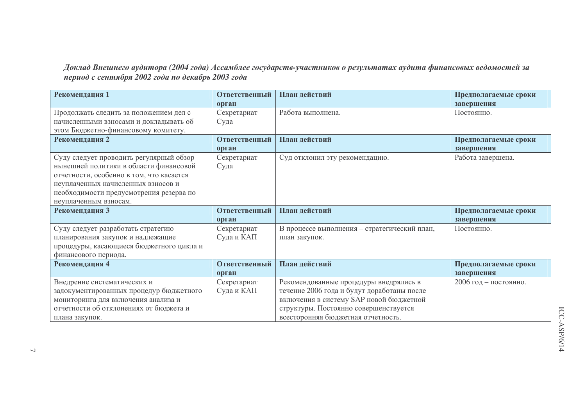Доклад Внешнего аудитора (2004 года) Ассамблее государств-участников о результатах аудита финансовых ведомостей за<br>период с сентября 2002 года по декабрь 2003 года

| Рекомендация 1                           | Ответственный | План действий                                | Предполагаемые сроки  |
|------------------------------------------|---------------|----------------------------------------------|-----------------------|
|                                          | орган         |                                              | завершения            |
| Продолжать следить за положением дел с   | Секретариат   | Работа выполнена.                            | Постоянно.            |
| начисленными взносами и докладывать об   | Суда          |                                              |                       |
| этом Бюджетно-финансовому комитету.      |               |                                              |                       |
| Рекомендация 2                           | Ответственный | План действий                                | Предполагаемые сроки  |
|                                          | орган         |                                              | завершения            |
| Суду следует проводить регулярный обзор  | Секретариат   | Суд отклонил эту рекомендацию.               | Работа завершена.     |
| нынешней политики в области финансовой   | Суда          |                                              |                       |
| отчетности, особенно в том, что касается |               |                                              |                       |
| неуплаченных начисленных взносов и       |               |                                              |                       |
| необходимости предусмотрения резерва по  |               |                                              |                       |
| неуплаченным взносам.                    |               |                                              |                       |
| Рекомендация 3                           | Ответственный | План действий                                |                       |
|                                          |               |                                              | Предполагаемые сроки  |
|                                          | орган         |                                              | завершения            |
| Суду следует разработать стратегию       | Секретариат   | В процессе выполнения - стратегический план, | Постоянно.            |
| планирования закупок и надлежащие        | Суда и КАП    | план закупок.                                |                       |
| процедуры, касающиеся бюджетного цикла и |               |                                              |                       |
| финансового периода.                     |               |                                              |                       |
| Рекомендация 4                           | Ответственный | План действий                                | Предполагаемые сроки  |
|                                          | орган         |                                              | завершения            |
| Внедрение систематических и              | Секретариат   | Рекомендованные процедуры внедрялись в       | 2006 год - постоянно. |
| задокументированных процедур бюджетного  | Суда и КАП    | течение 2006 года и будут доработаны после   |                       |
| мониторинга для включения анализа и      |               | включения в систему SAP новой бюджетной      |                       |
| отчетности об отклонениях от бюджета и   |               | структуры. Постоянно совершенствуется        |                       |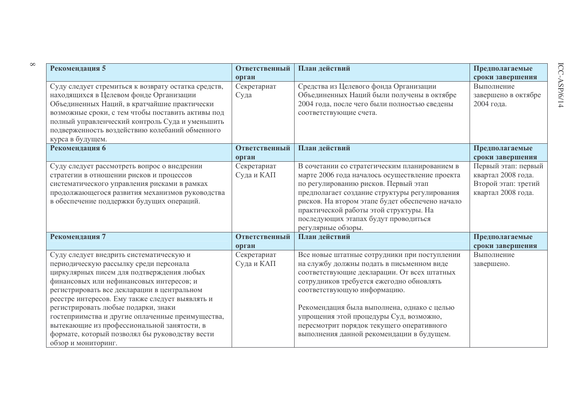| Рекомендация 5                                                                                                                                                                                                                                                                                                                                                                                                                                                                                  | Ответственный                | План действий                                                                                                                                                                                                                                                                                                                                                                                           | Предполагаемые                                                                         |
|-------------------------------------------------------------------------------------------------------------------------------------------------------------------------------------------------------------------------------------------------------------------------------------------------------------------------------------------------------------------------------------------------------------------------------------------------------------------------------------------------|------------------------------|---------------------------------------------------------------------------------------------------------------------------------------------------------------------------------------------------------------------------------------------------------------------------------------------------------------------------------------------------------------------------------------------------------|----------------------------------------------------------------------------------------|
| Суду следует стремиться к возврату остатка средств,<br>находящихся в Целевом фонде Организации<br>Объединенных Наций, в кратчайшие практически<br>возможные сроки, с тем чтобы поставить активы под<br>полный управленческий контроль Суда и уменьшить<br>подверженность воздействию колебаний обменного<br>курса в будущем.                                                                                                                                                                    | орган<br>Секретариат<br>Суда | Средства из Целевого фонда Организации<br>Объединенных Наций были получены в октябре<br>2004 года, после чего были полностью сведены<br>соответствующие счета.                                                                                                                                                                                                                                          | сроки завершения<br>Выполнение<br>завершено в октябре<br>2004 года.                    |
| Рекомендация 6                                                                                                                                                                                                                                                                                                                                                                                                                                                                                  | Ответственный<br>орган       | План действий                                                                                                                                                                                                                                                                                                                                                                                           | Предполагаемые<br>сроки завершения                                                     |
| Суду следует рассмотреть вопрос о внедрении<br>стратегии в отношении рисков и процессов<br>систематического управления рисками в рамках<br>продолжающегося развития механизмов руководства<br>в обеспечение поддержки будущих операций.                                                                                                                                                                                                                                                         | Секретариат<br>Суда и КАП    | В сочетании со стратегическим планированием в<br>марте 2006 года началось осуществление проекта<br>по регулированию рисков. Первый этап<br>предполагает создание структуры регулирования<br>рисков. На втором этапе будет обеспечено начало<br>практической работы этой структуры. На<br>последующих этапах будут проводиться<br>регулярные обзоры.                                                     | Первый этап: первый<br>квартал 2008 года.<br>Второй этап: третий<br>квартал 2008 года. |
| Рекомендация 7                                                                                                                                                                                                                                                                                                                                                                                                                                                                                  | Ответственный<br>орган       | План действий                                                                                                                                                                                                                                                                                                                                                                                           | Предполагаемые<br>сроки завершения                                                     |
| Суду следует внедрить систематическую и<br>периодическую рассылку среди персонала<br>циркулярных писем для подтверждения любых<br>финансовых или нефинансовых интересов; и<br>регистрировать все декларации в центральном<br>реестре интересов. Ему также следует выявлять и<br>регистрировать любые подарки, знаки<br>гостеприимства и другие оплаченные преимущества,<br>вытекающие из профессиональной занятости, в<br>формате, который позволял бы руководству вести<br>обзор и мониторинг. | Секретариат<br>Суда и КАП    | Все новые штатные сотрудники при поступлении<br>на службу должны подать в письменном виде<br>соответствующие декларации. От всех штатных<br>сотрудников требуется ежегодно обновлять<br>соответствующую информацию.<br>Рекомендация была выполнена, однако с целью<br>упрощения этой процедуры Суд, возможно,<br>пересмотрит порядок текущего оперативного<br>выполнения данной рекомендации в будущем. | Выполнение<br>завершено.                                                               |

 $\infty$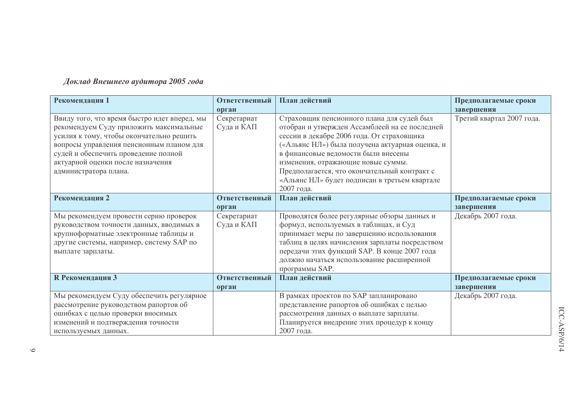## Доклад Внешнего аудитора 2005 года

| Рекомендация 1                               | Ответственный | План действий                                   | Предполагаемые сроки      |
|----------------------------------------------|---------------|-------------------------------------------------|---------------------------|
|                                              | орган         |                                                 | завершения                |
| Ввиду того, что время быстро идет вперед, мы | Секретариат   | Страховщик пенсионного плана для судей был      | Третий квартал 2007 года. |
| рекомендуем Суду приложить максимальные      | Суда и КАП    | отобран и утвержден Ассамблеей на ее последней  |                           |
| усилия к тому, чтобы окончательно решить     |               | сессии в декабре 2006 года. От страховщика      |                           |
| вопросы управления пенсионным планом для     |               | («Альянс НЛ») была получена актуарная оценка, и |                           |
| судей и обеспечить проведение полной         |               | в финансовые ведомости были внесены             |                           |
| актуарной оценки после назначения            |               | изменения, отражающие новые суммы.              |                           |
| администратора плана.                        |               | Предполагается, что окончательный контракт с    |                           |
|                                              |               | «Альянс НЛ» будет подписан в третьем квартале   |                           |
|                                              |               | 2007 года.                                      |                           |
| Рекомендация 2                               | Ответственный | План действий                                   | Предполагаемые сроки      |
|                                              | орган         |                                                 | завершения                |
| Мы рекомендуем провести серию проверок       | Секретариат   | Проводятся более регулярные обзоры данных и     | Декабрь 2007 года.        |
| руководством точности данных, вводимых в     | Суда и КАП    | формул, используемых в таблицах, и Суд          |                           |
| крупноформатные электронные таблицы и        |               | принимает меры по завершению использования      |                           |
| другие системы, например, систему SAP по     |               | таблиц в целях начисления зарплаты посредством  |                           |
| выплате зарплаты.                            |               | передачи этих функций SAP. В конце 2007 года    |                           |
|                                              |               | должно начаться использование расширенной       |                           |
|                                              |               | программы SAP.                                  |                           |
| <b>R</b> Рекомендация 3                      | Ответственный | План действий                                   | Предполагаемые сроки      |
|                                              | орган         |                                                 | завершения                |
| Мы рекомендуем Суду обеспечить регулярное    |               | В рамках проектов по SAP запланировано          | Декабрь 2007 года.        |
| рассмотрение руководством рапортов об        |               | представление рапортов об ошибках с целью       |                           |
| ошибках с целью проверки вносимых            |               | рассмотрения данных о выплате зарплаты.         |                           |
| изменений и подтверждения точности           |               | Планируется внедрение этих процедур к концу     |                           |
| используемых данных.                         |               | 2007 года.                                      |                           |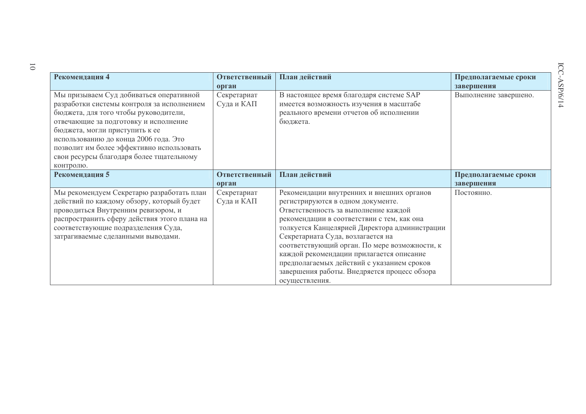| Рекомендация 4                               | Ответственный | План действий                                 | Предполагаемые сроки  |
|----------------------------------------------|---------------|-----------------------------------------------|-----------------------|
|                                              | орган         |                                               | завершения            |
| Мы призываем Суд добиваться оперативной      | Секретариат   | В настоящее время благодаря системе SAP       | Выполнение завершено. |
| разработки системы контроля за исполнением   | Суда и КАП    | имеется возможность изучения в масштабе       |                       |
| бюджета, для того чтобы руководители,        |               | реального времени отчетов об исполнении       |                       |
| отвечающие за подготовку и исполнение        |               | бюджета.                                      |                       |
| бюджета, могли приступить к ее               |               |                                               |                       |
| использованию до конца 2006 года. Это        |               |                                               |                       |
| позволит им более эффективно использовать    |               |                                               |                       |
| свои ресурсы благодаря более тщательному     |               |                                               |                       |
| контролю.                                    |               |                                               |                       |
| Рекомендация 5                               | Ответственный | План действий                                 | Предполагаемые сроки  |
|                                              | орган         |                                               | завершения            |
| Мы рекомендуем Секретарю разработать план    | Секретариат   | Рекомендации внутренних и внешних органов     | Постоянно.            |
| действий по каждому обзору, который будет    | Суда и КАП    | регистрируются в одном документе.             |                       |
|                                              |               |                                               |                       |
| проводиться Внутренним ревизором, и          |               | Ответственность за выполнение каждой          |                       |
| распространить сферу действия этого плана на |               | рекомендации в соответствии с тем, как она    |                       |
| соответствующие подразделения Суда,          |               | толкуется Канцелярией Директора администрации |                       |
| затрагиваемые сделанными выводами.           |               | Секретариата Суда, возлагается на             |                       |
|                                              |               | соответствующий орган. По мере возможности, к |                       |
|                                              |               | каждой рекомендации прилагается описание      |                       |
|                                              |               | предполагаемых действий с указанием сроков    |                       |
|                                              |               | завершения работы. Внедряется процесс обзора  |                       |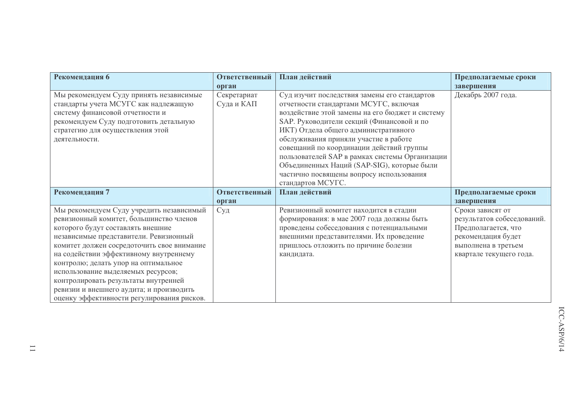| Рекомендация 6                                                                                                                                                                                                                                                                                                                                                                                                                                                             | Ответственный             | План действий                                                                                                                                                                                                                                                                                                                                                                                                                                                                       | Предполагаемые сроки                                                                                                                          |
|----------------------------------------------------------------------------------------------------------------------------------------------------------------------------------------------------------------------------------------------------------------------------------------------------------------------------------------------------------------------------------------------------------------------------------------------------------------------------|---------------------------|-------------------------------------------------------------------------------------------------------------------------------------------------------------------------------------------------------------------------------------------------------------------------------------------------------------------------------------------------------------------------------------------------------------------------------------------------------------------------------------|-----------------------------------------------------------------------------------------------------------------------------------------------|
|                                                                                                                                                                                                                                                                                                                                                                                                                                                                            | орган                     |                                                                                                                                                                                                                                                                                                                                                                                                                                                                                     | завершения                                                                                                                                    |
| Мы рекомендуем Суду принять независимые<br>стандарты учета МСУГС как надлежащую<br>систему финансовой отчетности и<br>рекомендуем Суду подготовить детальную<br>стратегию для осуществления этой<br>деятельности.                                                                                                                                                                                                                                                          | Секретариат<br>Суда и КАП | Суд изучит последствия замены его стандартов<br>отчетности стандартами МСУГС, включая<br>воздействие этой замены на его бюджет и систему<br>SAP. Руководители секций (Финансовой и по<br>ИКТ) Отдела общего административного<br>обслуживания приняли участие в работе<br>совещаний по координации действий группы<br>пользователей SAP в рамках системы Организации<br>Объединенных Наций (SAP-SIG), которые были<br>частично посвящены вопросу использования<br>стандартов МСУГС. | Декабрь 2007 года.                                                                                                                            |
| Рекомендация 7                                                                                                                                                                                                                                                                                                                                                                                                                                                             | Ответственный             | План действий                                                                                                                                                                                                                                                                                                                                                                                                                                                                       | Предполагаемые сроки                                                                                                                          |
|                                                                                                                                                                                                                                                                                                                                                                                                                                                                            | орган                     |                                                                                                                                                                                                                                                                                                                                                                                                                                                                                     | завершения                                                                                                                                    |
| Мы рекомендуем Суду учредить независимый<br>ревизионный комитет, большинство членов<br>которого будут составлять внешние<br>независимые представители. Ревизионный<br>комитет должен сосредоточить свое внимание<br>на содействии эффективному внутреннему<br>контролю; делать упор на оптимальное<br>использование выделяемых ресурсов;<br>контролировать результаты внутренней<br>ревизии и внешнего аудита; и производить<br>оценку эффективности регулирования рисков. | Суд                       | Ревизионный комитет находится в стадии<br>формирования: в мае 2007 года должны быть<br>проведены собеседования с потенциальными<br>внешними представителями. Их проведение<br>пришлось отложить по причине болезни<br>кандидата.                                                                                                                                                                                                                                                    | Сроки зависят от<br>результатов собеседований.<br>Предполагается, что<br>рекомендация будет<br>выполнена в третьем<br>квартале текущего года. |